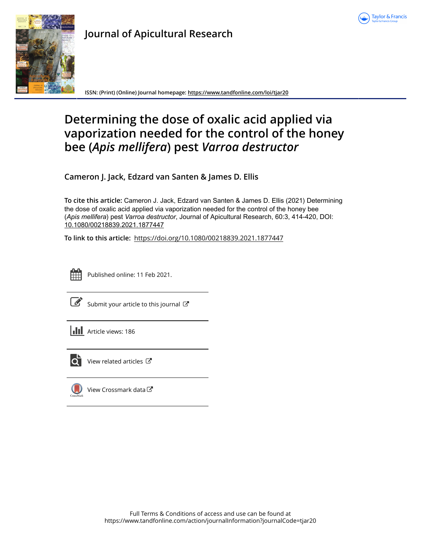



**Journal of Apicultural Research**

**ISSN: (Print) (Online) Journal homepage:<https://www.tandfonline.com/loi/tjar20>**

# **Determining the dose of oxalic acid applied via vaporization needed for the control of the honey bee (***Apis mellifera***) pest** *Varroa destructor*

**Cameron J. Jack, Edzard van Santen & James D. Ellis**

**To cite this article:** Cameron J. Jack, Edzard van Santen & James D. Ellis (2021) Determining the dose of oxalic acid applied via vaporization needed for the control of the honey bee (*Apismellifera*) pest *Varroadestructor*, Journal of Apicultural Research, 60:3, 414-420, DOI: [10.1080/00218839.2021.1877447](https://www.tandfonline.com/action/showCitFormats?doi=10.1080/00218839.2021.1877447)

**To link to this article:** <https://doi.org/10.1080/00218839.2021.1877447>



Published online: 11 Feb 2021.

|--|

[Submit your article to this journal](https://www.tandfonline.com/action/authorSubmission?journalCode=tjar20&show=instructions)  $\mathbb{Z}$ 





 $\overrightarrow{Q}$  [View related articles](https://www.tandfonline.com/doi/mlt/10.1080/00218839.2021.1877447)  $\overrightarrow{C}$ 



[View Crossmark data](http://crossmark.crossref.org/dialog/?doi=10.1080/00218839.2021.1877447&domain=pdf&date_stamp=2021-02-11)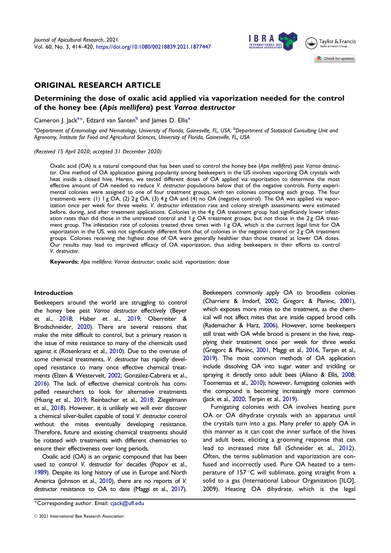

# <span id="page-1-0"></span>ORIGINAL RESEARCH ARTICLE

# Determining the dose of oxalic acid applied via vaporization needed for the control of the honey bee (Apis mellifera) pest Varroa destructor

Cameron J. Jack<sup>a\*</sup>, Edzard van Santen<sup>b</sup> and James D. Ellis<sup>a</sup>

<sup>a</sup>Department of Entomology and Nematology, University of Florida, Gainesville, FL, USA; <sup>b</sup>Department of Statistical Consulting Unit and Agronomy, Institute for Food and Agricultural Sciences, University of Florida, Gainesville, FL, USA

(Received 15 April 2020; accepted 31 December 2020)

Oxalic acid (OA) is a natural compound that has been used to control the honey bee (Apis mellifera) pest Varroa destructor. One method of OA application gaining popularity among beekeepers in the US involves vaporizing OA crystals with heat inside a closed hive. Herein, we tested different doses of OA applied via vaporization to determine the most effective amount of OA needed to reduce V. destructor populations below that of the negative controls. Forty experimental colonies were assigned to one of four treatment groups, with ten colonies composing each group. The four treatments were: (1) 1 g OA, (2) 2 g OA, (3) 4 g OA and (4) no OA (negative control). The OA was applied via vaporization once per week for three weeks. V. destructor infestation rate and colony strength assessments were estimated before, during, and after treatment applications. Colonies in the 4g OA treatment group had significantly lower infestation rates than did those in the untreated control and 1 g OA treatment groups, but not those in the 2g OA treatment group. The infestation rate of colonies treated three times with 1 g OA, which is the current legal limit for OA vaporization in the US, was not significantly different from that of colonies in the negative control or 2g OA treatment groups. Colonies receiving the highest dose of OA were generally healthier than those treated at lower OA doses. Our results may lead to improved efficacy of OA vaporization, thus aiding beekeepers in their efforts to control V. destructor.

Keywords: Apis mellifera; Varroa destructor; oxalic acid; vaporization; dose

# Introduction

Beekeepers around the world are struggling to control the honey bee pest Varroa destructor effectively (Beyer et al., [2018](#page-6-0); Haber et al., [2019](#page-6-0); Oberreiter & Brodschneider, [2020\)](#page-6-0). There are several reasons that make the mite difficult to control, but a primary reason is the issue of mite resistance to many of the chemicals used against it (Rosenkranz et al., [2010\)](#page-6-0). Due to the overuse of some chemical treatments, V. destructor has rapidly developed resistance to many once effective chemical treatments (Elzen & Westervelt, [2002;](#page-6-0) Gonzalez-Cabrera et al., [2016](#page-6-0)). The lack of effective chemical controls has compelled researchers to look for alternative treatments (Huang et al., [2019](#page-6-0); Reinbacher et al., [2018](#page-6-0); Ziegelmann et al., [2018\)](#page-7-0). However, it is unlikely we will ever discover a chemical silver-bullet capable of total V. destructor control without the mites eventually developing resistance. Therefore, future and existing chemical treatments should be rotated with treatments with different chemistries to ensure their effectiveness over long periods.

Oxalic acid (OA) is an organic compound that has been used to control V. destructor for decades (Popov et al., [1989\)](#page-6-0). Despite its long history of use in Europe and North America (Johnson et al., [2010\)](#page-6-0), there are no reports of V. destructor resistance to OA to date (Maggi et al., [2017\)](#page-6-0).

Corresponding author. Email: cjack@ufl.edu

Beekeepers commonly apply OA to broodless colonies (Charriere & Imdorf, [2002](#page-6-0); Gregorc & Planinc, [2001](#page-6-0)), which exposes more mites to the treatment, as the chemical will not affect mites that are inside capped brood cells (Rademacher & Harz, [2006\)](#page-6-0). However, some beekeepers still treat with OA while brood is present in the hive, reapplying their treatment once per week for three weeks (Gregorc & Planinc, [2001](#page-6-0), Maggi et al., [2016,](#page-6-0) Terpin et al., [2019\)](#page-7-0). The most common methods of OA application include dissolving OA into sugar water and trickling or spraying it directly onto adult bees (Aliano & Ellis, [2008](#page-6-0); Toomemaa et al., [2010](#page-7-0)); however, fumigating colonies with the compound is becoming increasingly more common (Jack et al., [2020;](#page-6-0) Terpin et al., [2019](#page-7-0)).

Fumigating colonies with OA involves heating pure OA or OA dihydrate crystals with an apparatus until the crystals turn into a gas. Many prefer to apply OA in this manner as it can coat the inner surface of the hives and adult bees, eliciting a grooming response that can lead to increased mite fall (Schneider et al., [2012](#page-6-0)). Often, the terms sublimation and vaporization are confused and incorrectly used. Pure OA heated to a temperature of 157°C will sublimate, going straight from a solid to a gas (International Labour Organization [ILO], 2009). Heating OA dihydrate, which is the legal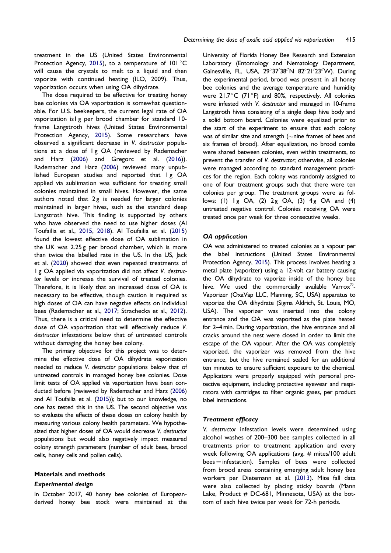<span id="page-2-0"></span>treatment in the US (United States Environmental Protection Agency, [2015](#page-7-0)), to a temperature of  $101^{\circ}$ C will cause the crystals to melt to a liquid and then vaporize with continued heating (ILO, 2009). Thus, vaporization occurs when using OA dihydrate.

The dose required to be effective for treating honey bee colonies via OA vaporization is somewhat questionable. For U.S. beekeepers, the current legal rate of OA vaporization is1 g per brood chamber for standard 10 frame Langstroth hives (United States Environmental Protection Agency, [2015](#page-7-0)). Some researchers have observed a significant decrease in V. destructor populations at a dose of 1 g OA (reviewed by Rademacher and Harz ([2006\)](#page-6-0) and Gregorc et al. [\(2016](#page-6-0))). Rademacher and Harz [\(2006](#page-6-0)) reviewed many unpublished European studies and reported that Ig OA applied via sublimation was sufficient for treating small colonies maintained in small hives. However, the same authors noted that  $2g$  is needed for larger colonies maintained in larger hives, such as the standard deep Langstroth hive. This finding is supported by others who have observed the need to use higher doses (Al Toufailia et al., [2015](#page-5-0), [2018\)](#page-5-0). Al Toufailia et al. [\(2015](#page-5-0)) found the lowest effective dose of OA sublimation in the UK was 2.25 g per brood chamber, which is more than twice the labelled rate in the US. In the US, Jack et al. ([2020\)](#page-6-0) showed that even repeated treatments of 1 g OA applied via vaporization did not affect V. destructor levels or increase the survival of treated colonies. Therefore, it is likely that an increased dose of OA is necessary to be effective, though caution is required as high doses of OA can have negative effects on individual bees (Rademacher et al., [2017;](#page-6-0) Strachecka et al., [2012](#page-6-0)). Thus, there is a critical need to determine the effective dose of OA vaporization that will effectively reduce V. destructor infestations below that of untreated controls without damaging the honey bee colony.

The primary objective for this project was to determine the effective dose of OA dihydrate vaporization needed to reduce V. destructor populations below that of untreated controls in managed honey bee colonies. Dose limit tests of OA applied via vaporization have been conducted before (reviewed by Rademacher and Harz [\(2006](#page-6-0)) and Al Toufailia et al. [\(2015](#page-5-0))); but to our knowledge, no one has tested this in the US. The second objective was to evaluate the effects of these doses on colony health by measuring various colony health parameters. We hypothesized that higher doses of OA would decrease V. destructor populations but would also negatively impact measured colony strength parameters (number of adult bees, brood cells, honey cells and pollen cells).

## Materials and methods

#### Experimental design

In October 2017, 40 honey bee colonies of Europeanderived honey bee stock were maintained at the

University of Florida Honey Bee Research and Extension Laboratory (Entomology and Nematology Department, Gainesville, FL, USA, 29°37'38"N 82°21'23"W). During the experimental period, brood was present in all honey bee colonies and the average temperature and humidity were  $21.7^{\circ}$ C (71 $^{\circ}$ F) and 80%, respectively. All colonies were infested with V. destructor and managed in 10-frame Langstroth hives consisting of a single deep hive body and a solid bottom board. Colonies were equalized prior to the start of the experiment to ensure that each colony was of similar size and strength ( $\sim$ nine frames of bees and six frames of brood). After equalization, no brood combs were shared between colonies, even within treatments, to prevent the transfer of V. destructor; otherwise, all colonies were managed according to standard management practices for the region. Each colony was randomly assigned to one of four treatment groups such that there were ten colonies per group. The treatment groups were as follows: (1)  $1g$  OA, (2)  $2g$  OA, (3)  $4g$  OA and (4) untreated negative control. Colonies receiving OA were treated once per week for three consecutive weeks.

#### OA application

OA was administered to treated colonies as a vapour per the label instructions (United States Environmental Protection Agency, [2015\)](#page-7-0). This process involves heating a metal plate (vaporizer) using a 12-volt car battery causing the OA dihydrate to vaporize inside of the honey bee hive. We used the commercially available Varrox $^{\circledR}$ -Vaporizer (OxaVap LLC, Manning, SC, USA) apparatus to vaporize the OA dihydrate (Sigma Aldrich, St. Louis, MO, USA). The vaporizer was inserted into the colony entrance and the OA was vaporized as the plate heated for 2–4 min. During vaporization, the hive entrance and all cracks around the nest were closed in order to limit the escape of the OA vapour. After the OA was completely vaporized, the vaporizer was removed from the hive entrance, but the hive remained sealed for an additional ten minutes to ensure sufficient exposure to the chemical. Applicators were properly equipped with personal protective equipment, including protective eyewear and respirators with cartridges to filter organic gases, per product label instructions.

#### Treatment efficacy

V. destructor infestation levels were determined using alcohol washes of 200–300 bee samples collected in all treatments prior to treatment application and every week following OA applications (avg. # mites/100 adult  $bees = infestation$ ). Samples of bees were collected from brood areas containing emerging adult honey bee workers per Dietemann et al. ([2013\)](#page-6-0). Mite fall data were also collected by placing sticky boards (Mann Lake, Product  $# DC-681$ , Minnesota, USA) at the bottom of each hive twice per week for 72-h periods.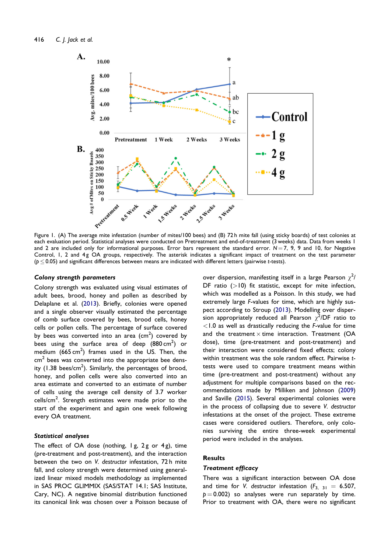<span id="page-3-0"></span>

Figure 1. (A) The average mite infestation (number of mites/100 bees) and (B) 72 h mite fall (using sticky boards) of test colonies at each evaluation period. Statistical analyses were conducted on Pretreatment and end-of-treatment (3 weeks) data. Data from weeks 1 and 2 are included only for informational purposes. Error bars represent the standard error.  $N=7$ , 9, 9 and 10, for Negative Control, I, 2 and 4g OA groups, respectively. The asterisk indicates a significant impact of treatment on the test parameter ( $p \le 0.05$ ) and significant differences between means are indicated with different letters (pairwise t-tests).

#### Colony strength parameters

Colony strength was evaluated using visual estimates of adult bees, brood, honey and pollen as described by Delaplane et al. [\(2013](#page-6-0)). Briefly, colonies were opened and a single observer visually estimated the percentage of comb surface covered by bees, brood cells, honey cells or pollen cells. The percentage of surface covered by bees was converted into an area  $\text{(cm}^2\text{)}$  covered by bees using the surface area of deep  $(880 \text{ cm}^2)$  or medium  $(665 \text{ cm}^2)$  frames used in the US. Then, the  $cm<sup>2</sup>$  bees was converted into the appropriate bee density (1.38 bees/cm<sup>2</sup>). Similarly, the percentages of brood, honey, and pollen cells were also converted into an area estimate and converted to an estimate of number of cells using the average cell density of 3.7 worker cells/cm<sup>2</sup>. Strength estimates were made prior to the start of the experiment and again one week following every OA treatment.

# Statistical analyses

The effect of OA dose (nothing,  $1g$ ,  $2g$  or  $4g$ ), time (pre-treatment and post-treatment), and the interaction between the two on V. destructor infestation, 72 h mite fall, and colony strength were determined using generalized linear mixed models methodology as implemented in SAS PROC GLIMMIX (SAS/STAT 14.1; SAS Institute, Cary, NC). A negative binomial distribution functioned its canonical link was chosen over a Poisson because of

over dispersion, manifesting itself in a large Pearson  $\chi^2$ / DF ratio  $(>10)$  fit statistic, except for mite infection, which was modelled as a Poisson. In this study, we had extremely large F-values for time, which are highly suspect according to Stroup [\(2013](#page-7-0)). Modelling over dispersion appropriately reduced all Pearson  $\chi^2$ /DF ratio to  $<$ 1.0 as well as drastically reducing the  $F$ -value for time and the treatment  $\times$  time interaction. Treatment (OA dose), time (pre-treatment and post-treatment) and their interaction were considered fixed effects; colony within treatment was the sole random effect. Pairwise ttests were used to compare treatment means within time (pre-treatment and post-treatment) without any adjustment for multiple comparisons based on the recommendations made by Milliken and Johnson [\(2009](#page-6-0)) and Saville ([2015\)](#page-6-0). Several experimental colonies were in the process of collapsing due to severe V. destructor infestations at the onset of the project. These extreme cases were considered outliers. Therefore, only colonies surviving the entire three-week experimental period were included in the analyses.

# **Results**

# Treatment efficacy

There was a significant interaction between OA dose and time for V. destructor infestation  $(F_{3, 31} = 6.507,$  $p = 0.002$ ) so analyses were run separately by time. Prior to treatment with OA, there were no significant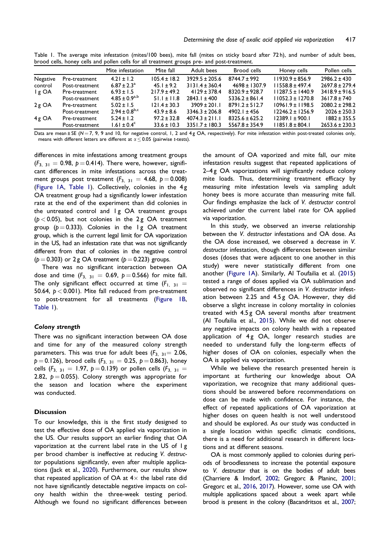<span id="page-4-0"></span>Table 1. The average mite infestation (mites/100 bees), mite fall (mites on sticky board after 72 h), and number of adult bees, brood cells, honey cells and pollen cells for all treatment groups pre- and post-treatment.

|          |                | Mite infestation       | Mite fall        | Adult bees         | Brood cells        | Honey cells          | Pollen cells       |
|----------|----------------|------------------------|------------------|--------------------|--------------------|----------------------|--------------------|
| Negative | Pre-treatment  | $4.21 \pm 1.2$         | $105.4 \pm 18.2$ | $3929.5 \pm 205.6$ | $8744.7 \pm 992$   | $11930.9 \pm 856.9$  | $2986.2 \pm 430$   |
| control  | Post-treatment | $6.87 \pm 2.3^{\circ}$ | $45.1 \pm 9.2$   | $3131.4 \pm 360.4$ | $4698 \pm 1307.9$  | $11558.8 \pm 497.4$  | $2697.8 \pm 279.4$ |
| l g OA   | Pre-treatment  | $6.93 \pm 1.5$         | $217.9 \pm 49.2$ | $4129 \pm 378.4$   | $8320.9 \pm 928.7$ | $11287.5 \pm 1440.9$ | $3418.9 \pm 916.5$ |
|          | Post-treatment | $4.85 \pm 0.9^{a,b}$   | $51.1 \pm 11.8$  | $2843.1 \pm 400$   | $5336.2 \pm 861.4$ | $11052.3 \pm 1270.8$ | $3617.8 \pm 740$   |
| $2g$ OA  | Pre-treatment  | $5.02 \pm 1.5$         | $121.4 \pm 30.3$ | $3909 \pm 201.1$   | $8791.2 \pm 512.7$ | $10961.9 \pm 1198.5$ | $2080.2 \pm 298.2$ |
|          | Post-treatment | $2.94 \pm 0.8^{b,c}$   | $43.9 \pm 8.6$   | $3346.3 \pm 206.8$ | $4902.1 \pm 456$   | $12246.2 \pm 1256.9$ | $2026 \pm 250.3$   |
| $4g$ OA  | Pre-treatment  | $5.24 \pm 1.2$         | $97.2 \pm 32.8$  | $4074.3 \pm 211.1$ | $8325.6 \pm 625.2$ | $12389.1 \pm 900.1$  | $1882 \pm 355.5$   |
|          | Post-treatment | $1.61 \pm 0.4^c$       | $33.6 \pm 10.3$  | $3351.7 \pm 180.3$ | $5567.8 \pm 354.9$ | $11851.8 \pm 804.1$  | $2653.6 \pm 230.3$ |

Data are mean ± SE (N = 7, 9, 9 and 10, for negative control, 1, 2 and 4g OA, respectively). For mite infestation within post-treated colonies only, means with different letters are different at  $\alpha \leq 0.05$  (pairwise t-tests).

differences in mite infestations among treatment groups  $(F_{3, 31} = 0.98, p = 0.414)$ . There were, however, significant differences in mite infestations across the treatment groups post treatment  $(F_{3, 31} = 4.68, p = 0.008)$ [\(Figure 1A](#page-3-0), Table 1). Collectively, colonies in the 4 g OA treatment group had a significantly lower infestation rate at the end of the experiment than did colonies in the untreated control and Ig OA treatment groups  $(p < 0.05)$ , but not colonies in the 2g OA treatment group ( $p = 0.333$ ). Colonies in the 1 g OA treatment group, which is the current legal limit for OA vaporization in the US, had an infestation rate that was not significantly different from that of colonies in the negative control  $(p = 0.303)$  or 2 g OA treatment ( $p = 0.223$ ) groups.

There was no significant interaction between OA dose and time  $(F_{3, 31} = 0.69, p = 0.566)$  for mite fall. The only significant effect occurred at time  $(F_{1, 31} =$ 50.64,  $p < 0.001$ ). Mite fall reduced from pre-treatment to post-treatment for all treatments ([Figure 1B,](#page-3-0) Table 1).

# Colony strength

There was no significant interaction between OA dose and time for any of the measured colony strength parameters. This was true for adult bees  $(F_{3, 31} = 2.06,$  $p = 0.126$ ), brood cells ( $F_{3, 31} = 0.25$ ,  $p = 0.863$ ), honey cells  $(F_{3, 31} = 1.97, p = 0.139)$  or pollen cells  $(F_{3, 31} =$ 2.82,  $p = 0.055$ ). Colony strength was appropriate for the season and location where the experiment was conducted.

### **Discussion**

To our knowledge, this is the first study designed to test the effective dose of OA applied via vaporization in the US. Our results support an earlier finding that OA vaporization at the current label rate in the US of 1 g per brood chamber is ineffective at reducing V. destructor populations significantly, even after multiple applications (Jack et al., [2020\)](#page-6-0). Furthermore, our results show that repeated application of OA at  $4\times$  the label rate did not have significantly detectable negative impacts on colony health within the three-week testing period. Although we found no significant differences between

the amount of OA vaporized and mite fall, our mite infestation results suggest that repeated applications of 2–4 g OA vaporizations will significantly reduce colony mite loads. Thus, determining treatment efficacy by measuring mite infestation levels via sampling adult honey bees is more accurate than measuring mite fall. Our findings emphasize the lack of V. destructor control achieved under the current label rate for OA applied via vaporization.

In this study, we observed an inverse relationship between the V. destructor infestations and OA dose. As the OA dose increased, we observed a decrease in V. destructor infestation, though differences between similar doses (doses that were adjacent to one another in this study) were never statistically different from one another [\(Figure 1A](#page-3-0)). Similarly, Al Toufailia et al. [\(2015](#page-5-0)) tested a range of doses applied via OA sublimation and observed no significant differences in V. destructor infestation between 2.25 and 4.5 g OA. However, they did observe a slight increase in colony mortality in colonies treated with 4.5 g OA several months after treatment (Al Toufailia et al., [2015](#page-5-0)). While we did not observe any negative impacts on colony health with a repeated application of  $4g$  OA, longer research studies are needed to understand fully the long-term effects of higher doses of OA on colonies, especially when the OA is applied via vaporization.

While we believe the research presented herein is important at furthering our knowledge about OA vaporization, we recognize that many additional questions should be answered before recommendations on dose can be made with confidence. For instance, the effect of repeated applications of OA vaporization at higher doses on queen health is not well understood and should be explored. As our study was conducted in a single location within specific climatic conditions, there is a need for additional research in different locations and at different seasons.

OA is most commonly applied to colonies during periods of broodlessness to increase the potential exposure to V. destructor that is on the bodies of adult bees (Charriere & Imdorf, [2002;](#page-6-0) Gregorc & Planinc, [2001](#page-6-0); Gregorc et al., [2016,](#page-6-0) [2017](#page-6-0)). However, some use OA with multiple applications spaced about a week apart while brood is present in the colony (Bacandritsos et al., [2007](#page-6-0);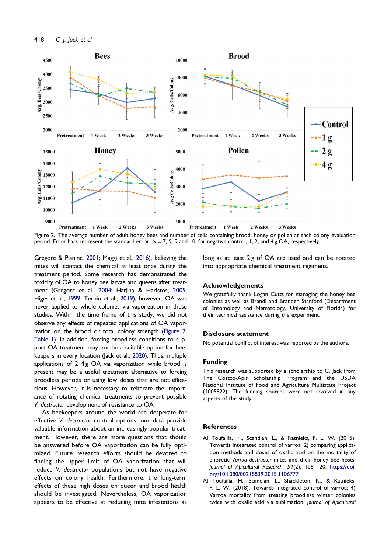<span id="page-5-0"></span>

Figure 2. The average number of adult honey bees and number of cells containing brood, honey or pollen at each colony evaluation period. Error bars represent the standard error.  $N = 7, 9, 9$  and 10, for negative control, 1, 2, and 4g OA, respectively.

Gregorc & Planinc, [2001;](#page-6-0) Maggi et al., [2016](#page-6-0)), believing the mites will contact the chemical at least once during the treatment period. Some research has demonstrated the toxicity of OA to honey bee larvae and queens after treatment (Gregorc et al., [2004](#page-6-0); Hatjina & Haristos, [2005;](#page-6-0) Higes et al., [1999](#page-6-0); Terpin et al., [2019](#page-7-0)); however, OA was never applied to whole colonies via vaporization in these studies. Within the time frame of this study, we did not observe any effects of repeated applications of OA vaporization on the brood or total colony strength (Figure 2, [Table 1](#page-4-0)). In addition, forcing broodless conditions to support OA treatment may not be a suitable option for beekeepers in every location (Jack et al., [2020\)](#page-6-0). Thus, multiple applications of  $2-4g$  OA via vaporization while brood is present may be a useful treatment alternative to forcing broodless periods or using low doses that are not efficacious. However, it is necessary to reiterate the importance of rotating chemical treatments to prevent possible V. destructor development of resistance to OA.

As beekeepers around the world are desperate for effective V. destructor control options, our data provide valuable information about an increasingly popular treatment. However, there are more questions that should be answered before OA vaporization can be fully optimized. Future research efforts should be devoted to finding the upper limit of OA vaporization that will reduce V. destructor populations but not have negative effects on colony health. Furthermore, the long-term effects of these high doses on queen and brood health should be investigated. Nevertheless, OA vaporization appears to be effective at reducing mite infestations as

long as at least 2g of OA are used and can be rotated into appropriate chemical treatment regimens.

#### Acknowledgements

We gratefully thank Logan Cutts for managing the honey bee colonies as well as Brandi and Branden Stanford (Department of Entomology and Nematology, University of Florida) for their technical assistance during the experiment.

# Disclosure statement

No potential conflict of interest was reported by the authors.

# Funding

This research was supported by a scholarship to C. Jack from The Costco-Apis Scholarship Program and the USDA National Institute of Food and Agriculture Multistate Project (1005822). The funding sources were not involved in any aspects of the study.

# References

- Al Toufailia, H., Scandian, L., & Ratnieks, F. L. W. ([2015\)](#page-2-0). Towards integrated control of varroa: 2) comparing application methods and doses of oxalic acid on the mortality of phoretic Varroa destructor mites and their honey bee hosts. Journal of Apicultural Research, 54(2), 108–120. [https://doi.](https://doi.org/10.1080/00218839.2015.1106777) [org/10.1080/00218839.2015.1106777](https://doi.org/10.1080/00218839.2015.1106777)
- Al Toufailia, H., Scandian, L., Shackleton, K., & Ratnieks, F. L. W. ([2018\)](#page-2-0). Towards integrated control of varroa: 4) Varroa mortality from treating broodless winter colonies twice with oxalic acid via sublimation. Journal of Apicultural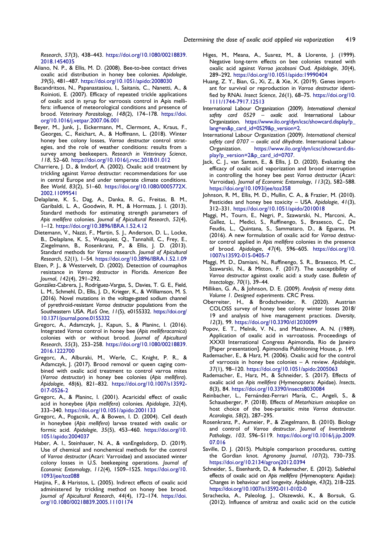<span id="page-6-0"></span>Research, 57(3), 438–443. [https://doi.org/10.1080/00218839.](https://doi.org/10.1080/00218839.2018.1454035) [2018.1454035](https://doi.org/10.1080/00218839.2018.1454035)

- Aliano, N. P., & Ellis, M. D. ([2008\)](#page-1-0). Bee-to-bee contact drives oxalic acid distribution in honey bee colonies. Apidologie, 39(5), 481–487. <https://doi.org/10.1051/apido:2008030>
- Bacandritsos, N., Papanastasiou, I., Saitanis, C., Nanetti, A., & Roinioti, E. [\(2007](#page-4-0)). Efficacy of repeated trickle applications of oxalic acid in syrup for varroosis control in Apis mellifera: influence of meteorological conditions and presence of brood. Veterinary Parasitology, 148(2), 174–178. [https://doi.](https://doi.org/10.1016/j.vetpar.2007.06.001) [org/10.1016/j.vetpar.2007.06.001](https://doi.org/10.1016/j.vetpar.2007.06.001)
- Beyer, M., Junk, J., Eickermann, M., Clermont, A., Kraus, F., Georges, C., Reichart, A., & Hoffmann, L. ([2018\)](#page-1-0). Winter honey bee colony losses, Varroa destructor control strategies, and the role of weather conditions: results from a survey among beekeepers. Research in Veterinary Science, 118, 52–60. <https://doi.org/10.1016/j.rvsc.2018.01.012>
- Charriere, J. D., & Imdorf, A. ([2002\)](#page-1-0). Oxalic acid treatment by trickling against Varroa destructor: recommendations for use in central Europe and under temperate climate conditions. Bee World, 83(2), 51–60. [https://doi.org/10.1080/0005772X.](https://doi.org/10.1080/0005772X.2002.11099541) [2002.11099541](https://doi.org/10.1080/0005772X.2002.11099541)
- Delaplane, K. S., Dag, A., Danka, R. G., Freitas, B. M., Garibaldi, L. A., Goodwin, R. M., & Hormaza, J. I. ([2013\)](#page-3-0). Standard methods for estimating strength parameters of Apis mellifera colonies. Journal of Apicultural Research, 52(4), 1–12. <https://doi.org/10.3896/IBRA.1.52.4.12>
- Dietemann, V., Nazzi, F., Martin, S. J., Anderson, D. L., Locke, B., Delaplane, K. S., Wauquiez, Q., Tannahill, C., Frey, E., Ziegelmann, B., Rosenkranz, P., & Ellis, J. D. ([2013\)](#page-2-0). Standard methods for Varroa research. Journal of Apicultural Research, 52(1), 1–54. <https://doi.org/10.3896/IBRA.1.52.1.09>
- Elzen, P. J., & Westervelt, D. [\(2002](#page-1-0)). Detection of coumaphos resistance in Varroa destructor in Florida. American Bee Journal, 142(4), 291–292.
- Gonzalez-Cabrera, J., Rodrıguez-Vargas, S., Davies, T. G. E., Field, L. M., Schmehl, D., Ellis, J. D., Krieger, K., & Williamson, M. S. [\(2016](#page-1-0)). Novel mutations in the voltage-gated sodium channel of pyrethroid-resistant Varroa destructor populations from the Southeastern USA. PLoS One, 11(5), e0155332. [https://doi.org/](https://doi.org/10.1371/journal.pone.0155332) [10.1371/journal.pone.0155332](https://doi.org/10.1371/journal.pone.0155332)
- Gregorc, A., Adamczyk, J., Kapun, S., & Planinc, I. ([2016\)](#page-2-0). Integrated Varroa control in honey bee (Apis melliferacarnica) colonies with or without brood. Journal of Apicultural Research, 55(3), 253–258. [https://doi.org/10.1080/00218839.](https://doi.org/10.1080/00218839.2016.1222700) [2016.1222700](https://doi.org/10.1080/00218839.2016.1222700)
- Gregorc, A., Alburaki, M., Werle, C., Knight, P. R., & Adamczyk, J. ([2017\)](#page-4-0). Brood removal or queen caging combined with oxalic acid treatment to control varroa mites (Varroa destructor) in honey bee colonies (Apis mellifera). Apidologie, 48(6), 821–832. [https://doi.org/10.1007/s13592-](https://doi.org/10.1007/s13592-017-0526-2) [017-0526-2](https://doi.org/10.1007/s13592-017-0526-2)
- Gregorc, A., & Planinc, I. ([2001\)](#page-1-0). Acaricidal effect of oxalic acid in honeybee (Apis mellifera) colonies. Apidologie, 32(4), 333–340. <https://doi.org/10.1051/apido:2001133>
- Gregorc, A., Pogacnik, A., & Bowen, I. D. [\(2004](#page-5-0)). Cell death in honeybee (Apis mellifera) larvae treated with oxalic or formic acid. Apidologie, 35(5), 453–460. [https://doi.org/10.](https://doi.org/10.1051/apido:2004037) [1051/apido:2004037](https://doi.org/10.1051/apido:2004037)
- Haber, A. I., Steinhauer, N. A., & vanEngelsdorp, D. ([2019\)](#page-1-0). Use of chemical and nonchemical methods for the control of Varroa destructor (Acari: Varroidae) and associated winter colony losses in U.S. beekeeping operations. Journal of Economic Entomology, 112(4), 1509–1525. [https://doi.org/10.](https://doi.org/10.1093/jee/toz088) [1093/jee/toz088](https://doi.org/10.1093/jee/toz088)
- Hatjina, F., & Haristos, L. ([2005\)](#page-5-0). Indirect effects of oxalic acid administered by trickling method on honey bee brood. Journal of Apicultural Research, 44(4), 172–174. [https://doi.](https://doi.org/10.1080/00218839.2005.11101174) [org/10.1080/00218839.2005.11101174](https://doi.org/10.1080/00218839.2005.11101174)
- Higes, M., Meana, A., Suarez, M., & Llorente, J. ([1999\)](#page-5-0). Negative long-term effects on bee colonies treated with oxalic acid against Varroa jacobsoni Oud. Apidologie, 30(4), 289–292. <https://doi.org/10.1051/apido:19990404>
- Huang, Z. Y., Bian, G., Xi, Z., & Xie, X. [\(2019](#page-1-0)). Genes important for survival or reproduction in Varroa destructor identified by RNAi. Insect Science, 26(1), 68–75. [https://doi.org/10.](https://doi.org/10.1111/1744-7917.12513) [1111/1744-7917.12513](https://doi.org/10.1111/1744-7917.12513)
- International Labour Organization (2009). International chemical safety card 0529 - oxalic acid. International Labour Organization. [https://www.ilo.org/dyn/icsc/showcard.display?p\\_](https://www.ilo.org/dyn/icsc/showcard.display?p_lang=en&p_card_id=0529&p_version=2) [lang=en&p\\_card\\_id=0529&p\\_version=2](https://www.ilo.org/dyn/icsc/showcard.display?p_lang=en&p_card_id=0529&p_version=2).
- International Labour Organization (2009). International chemical safety card 0707 – oxalic acid dihydrate. International Labour Organization. [https://www.ilo.org/dyn/icsc/showcard.dis](https://www.ilo.org/dyn/icsc/showcard.display?p_version=2&p_card_id=0707)[play?p\\_version=2&p\\_card\\_id=0707.](https://www.ilo.org/dyn/icsc/showcard.display?p_version=2&p_card_id=0707)
- Jack, C. J., van Santen, E., & Ellis, J. D. [\(2020](#page-1-0)). Evaluating the efficacy of oxalic acid vaporization and brood interruption in controlling the honey bee pest Varroa destructor (Acari: Varroidae). Journal of Economic Entomology, 113(2), 582–588. <https://doi.org/10.1093/jee/toz358>
- Johnson, R. M., Ellis, M. D., Mullin, C. A., & Frazier, M. ([2010\)](#page-1-0). Pesticides and honey bee toxicity – USA. Apidologie, 41(3), 312–331. <https://doi.org/10.1051/apido/2010018>
- Maggi, M., Tourn, E., Negri, P., Szawarski, N., Marconi, A., Gallez, L., Medici, S., Ruffinengo, S., Brasesco, C., De Feudis, L., Quintana, S., Sammataro, D., & Eguaras, M. ([2016\)](#page-1-0). A new formulation of oxalic acid for Varroa destructor control applied in Apis mellifera colonies in the presence of brood. Apidologie, 47(4), 596–605. [https://doi.org/10.](https://doi.org/10.1007/s13592-015-0405-7) [1007/s13592-015-0405-7](https://doi.org/10.1007/s13592-015-0405-7)
- Maggi, M. D., Damiani, N., Ruffinengo, S. R., Brasesco, M. C., Szawarski, N., & Mitton, F. ([2017\)](#page-1-0). The susceptibility of Varroa destructor against oxalic acid: a study case. Bulletin of Insectology, 70(1), 39–44.
- Milliken, G. A., & Johnson, D. E. [\(2009](#page-3-0)). Analysis of messy data. Volume 1. Designed experiments. CRC Press.
- Oberreiter, H., & Brodschneider, R. ([2020\)](#page-1-0). Austrian COLOSS survey of honey bee colony winter losses 2018/ 19 and analysis of hive management practices. Diversity, 12(3), 99. <https://doi.org/10.3390/d12030099>
- Popov, E. T., Melnik, V. N., and Matchinev, A. N. ([1989\)](#page-1-0). Application of oxalic acid in varroatosis. Proceedings of XXXII International Congress Apimondia, Rio de Janeiro [Paper presentation]. Apimondia Publitioning House, p. 149.
- Rademacher, E., & Harz, M. ([2006\)](#page-1-0). Oxalic acid for the control of varroosis in honey bee colonies – A review. Apidologie, 37(1), 98–120. <https://doi.org/10.1051/apido:2005063>
- Rademacher, E., Harz, M., & Schneider, S. ([2017\)](#page-2-0). Effects of oxalic acid on Apis mellifera (Hymenoptera: Apidae). Insects, 8(3), 84. <https://doi.org/10.3390/insects8030084>
- Reinbacher, L., Fernández-Ferrari María, C., Angeli, S., & Schausberger, P. [\(2018](#page-1-0)). Effects of Metarhizium anisopliae on host choice of the bee-parasitic mite Varroa destructor. Acarologia, 58(2), 287–295.
- Rosenkranz, P., Aumeier, P., & Ziegelmann, B. [\(2010](#page-1-0)). Biology and control of Varroa destructor. Journal of Invertebrate Pathology, 103, S96–S119. [https://doi.org/10.1016/j.jip.2009.](https://doi.org/10.1016/j.jip.2009.07.016) [07.016](https://doi.org/10.1016/j.jip.2009.07.016)
- Saville, D. J. ([2015\)](#page-3-0). Multiple comparison procedures, cutting the Gordian knot. Agronomy Journal, 107(2), 730–735. <https://doi.org/10.2134/agronj2012.0394>
- Schneider, S., Eisenhardt, D., & Rademacher, E. [\(2012](#page-1-0)). Sublethal effects of oxalic acid on Apis mellifera (Hymenoptera: Apidae): Changes in behaviour and longevity. Apidologie, 43(2), 218–225. <https://doi.org/10.1007/s13592-011-0102-0>
- Strachecka, A., Paleolog, J., Olszewski, K., & Borsuk, G. ([2012\)](#page-2-0). Influence of amitraz and oxalic acid on the cuticle